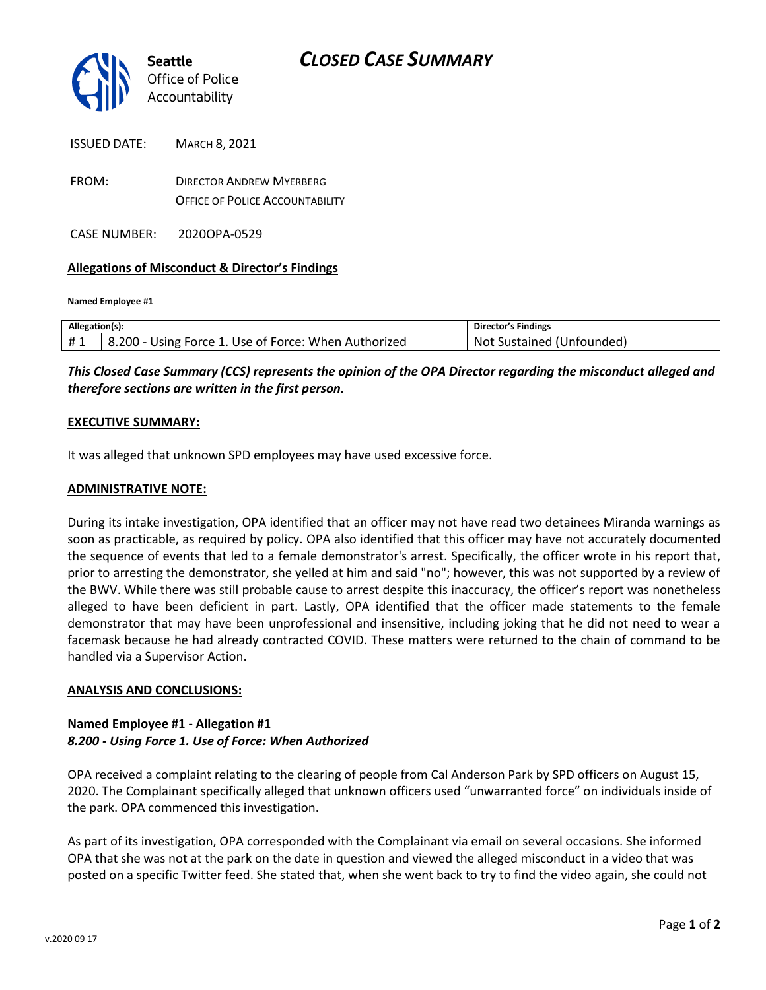

| ISSUED DATE: | <b>MARCH 8, 2021</b>                                                      |
|--------------|---------------------------------------------------------------------------|
| FROM:        | <b>DIRECTOR ANDREW MYERBERG</b><br><b>OFFICE OF POLICE ACCOUNTABILITY</b> |

CASE NUMBER: 2020OPA-0529

## **Allegations of Misconduct & Director's Findings**

**Named Employee #1**

| Allegation(s): |                                                                   | Director's Findings            |
|----------------|-------------------------------------------------------------------|--------------------------------|
| #1             | <sup>1</sup> 8.200 - Using Force 1. Use of Force: When Authorized | Not<br>: Sustained (Unfounded) |

*This Closed Case Summary (CCS) represents the opinion of the OPA Director regarding the misconduct alleged and therefore sections are written in the first person.* 

#### **EXECUTIVE SUMMARY:**

It was alleged that unknown SPD employees may have used excessive force.

### **ADMINISTRATIVE NOTE:**

During its intake investigation, OPA identified that an officer may not have read two detainees Miranda warnings as soon as practicable, as required by policy. OPA also identified that this officer may have not accurately documented the sequence of events that led to a female demonstrator's arrest. Specifically, the officer wrote in his report that, prior to arresting the demonstrator, she yelled at him and said "no"; however, this was not supported by a review of the BWV. While there was still probable cause to arrest despite this inaccuracy, the officer's report was nonetheless alleged to have been deficient in part. Lastly, OPA identified that the officer made statements to the female demonstrator that may have been unprofessional and insensitive, including joking that he did not need to wear a facemask because he had already contracted COVID. These matters were returned to the chain of command to be handled via a Supervisor Action.

#### **ANALYSIS AND CONCLUSIONS:**

# **Named Employee #1 - Allegation #1** *8.200 - Using Force 1. Use of Force: When Authorized*

OPA received a complaint relating to the clearing of people from Cal Anderson Park by SPD officers on August 15, 2020. The Complainant specifically alleged that unknown officers used "unwarranted force" on individuals inside of the park. OPA commenced this investigation.

As part of its investigation, OPA corresponded with the Complainant via email on several occasions. She informed OPA that she was not at the park on the date in question and viewed the alleged misconduct in a video that was posted on a specific Twitter feed. She stated that, when she went back to try to find the video again, she could not